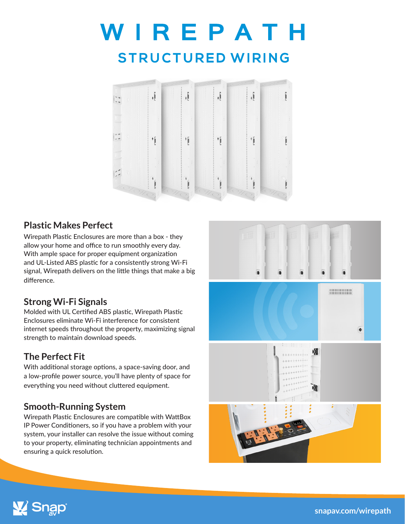# WIREPATH **STRUCTURED WIRING**



#### **Plastic Makes Perfect**

Wirepath Plastic Enclosures are more than a box - they allow your home and office to run smoothly every day. With ample space for proper equipment organization and UL-Listed ABS plastic for a consistently strong Wi-Fi signal, Wirepath delivers on the little things that make a big difference.

### **Strong Wi-Fi Signals**

Molded with UL Certified ABS plastic, Wirepath Plastic Enclosures eliminate Wi-Fi interference for consistent internet speeds throughout the property, maximizing signal strength to maintain download speeds.

## **The Perfect Fit**

With additional storage options, a space-saving door, and a low-profile power source, you'll have plenty of space for everything you need without cluttered equipment.

## **Smooth-Running System**

Wirepath Plastic Enclosures are compatible with WattBox IP Power Conditioners, so if you have a problem with your system, your installer can resolve the issue without coming to your property, eliminating technician appointments and ensuring a quick resolution.